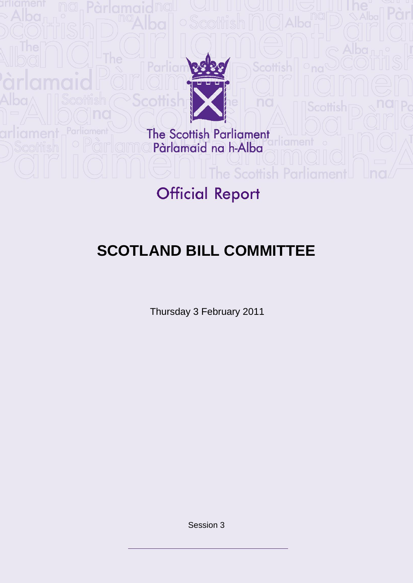

The Scottish Parliament<br>Pàrlamaid na h-Alba

# **Official Report**

**The Scottish** 

# **SCOTLAND BILL COMMITTEE**

Thursday 3 February 2011

Session 3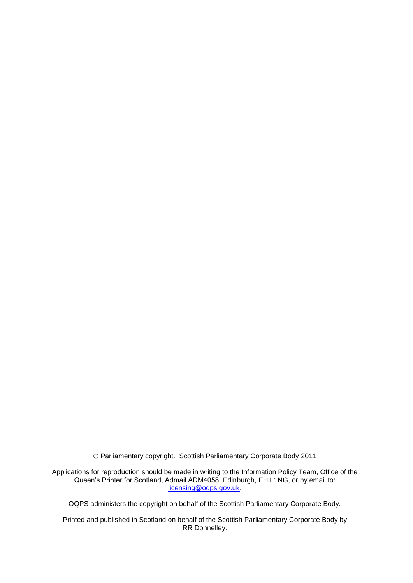Parliamentary copyright. Scottish Parliamentary Corporate Body 2011

Applications for reproduction should be made in writing to the Information Policy Team, Office of the Queen's Printer for Scotland, Admail ADM4058, Edinburgh, EH1 1NG, or by email to: [licensing@oqps.gov.uk.](mailto:licensing@oqps.gov.uk)

OQPS administers the copyright on behalf of the Scottish Parliamentary Corporate Body.

Printed and published in Scotland on behalf of the Scottish Parliamentary Corporate Body by RR Donnelley.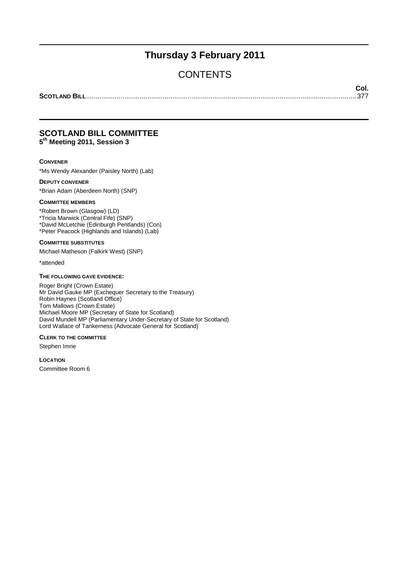## **Thursday 3 February 2011**

## **CONTENTS**

**Col.**

**SCOTLAND BILL**............................................................................................................................................. 377

#### **SCOTLAND BILL COMMITTEE 5 th Meeting 2011, Session 3**

#### **CONVENER**

\*Ms Wendy Alexander (Paisley North) (Lab)

#### **DEPUTY CONVENER**

\*Brian Adam (Aberdeen North) (SNP)

#### **COMMITTEE MEMBERS**

\*Robert Brown (Glasgow) (LD) \*Tricia Marwick (Central Fife) (SNP) \*David McLetchie (Edinburgh Pentlands) (Con) \*Peter Peacock (Highlands and Islands) (Lab)

**COMMITTEE SUBSTITUTES**

Michael Matheson (Falkirk West) (SNP)

\*attended

#### **THE FOLLOWING GAVE EVIDENCE:**

Roger Bright (Crown Estate) Mr David Gauke MP (Exchequer Secretary to the Treasury) Robin Haynes (Scotland Office) Tom Mallows (Crown Estate) Michael Moore MP (Secretary of State for Scotland) David Mundell MP (Parliamentary Under-Secretary of State for Scotland) Lord Wallace of Tankerness (Advocate General for Scotland)

#### **CLERK TO THE COMMITTEE**

Stephen Imrie

**LOCATION** Committee Room 6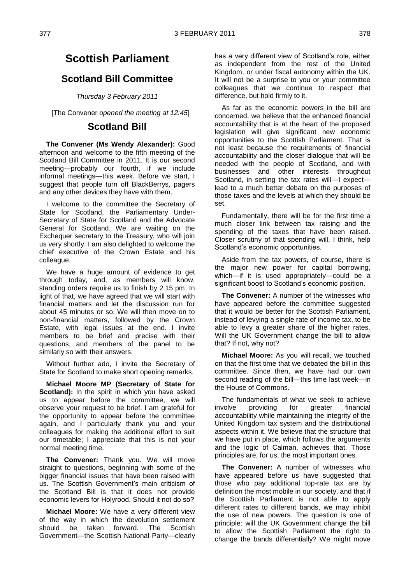### **Scotland Bill Committee**

*Thursday 3 February 2011*

[The Convener *opened the meeting at 12:45*]

### **Scotland Bill**

**The Convener (Ms Wendy Alexander):** Good afternoon and welcome to the fifth meeting of the Scotland Bill Committee in 2011. It is our second meeting—probably our fourth, if we include informal meetings—this week. Before we start, I suggest that people turn off BlackBerrys, pagers and any other devices they have with them.

I welcome to the committee the Secretary of State for Scotland, the Parliamentary Under-Secretary of State for Scotland and the Advocate General for Scotland. We are waiting on the Exchequer secretary to the Treasury, who will join us very shortly. I am also delighted to welcome the chief executive of the Crown Estate and his colleague.

We have a huge amount of evidence to get through today, and, as members will know, standing orders require us to finish by 2.15 pm. In light of that, we have agreed that we will start with financial matters and let the discussion run for about 45 minutes or so. We will then move on to non-financial matters, followed by the Crown Estate, with legal issues at the end. I invite members to be brief and precise with their questions, and members of the panel to be similarly so with their answers.

Without further ado, I invite the Secretary of State for Scotland to make short opening remarks.

**Michael Moore MP (Secretary of State for Scotland):** In the spirit in which you have asked us to appear before the committee, we will observe your request to be brief. I am grateful for the opportunity to appear before the committee again, and I particularly thank you and your colleagues for making the additional effort to suit our timetable; I appreciate that this is not your normal meeting time.

**The Convener:** Thank you. We will move straight to questions, beginning with some of the bigger financial issues that have been raised with us. The Scottish Government's main criticism of the Scotland Bill is that it does not provide economic levers for Holyrood. Should it not do so?

**Michael Moore:** We have a very different view of the way in which the devolution settlement should be taken forward. The Scottish Government—the Scottish National Party—clearly

has a very different view of Scotland's role, either as independent from the rest of the United Kingdom, or under fiscal autonomy within the UK. It will not be a surprise to you or your committee colleagues that we continue to respect that difference, but hold firmly to it.

As far as the economic powers in the bill are concerned, we believe that the enhanced financial accountability that is at the heart of the proposed legislation will give significant new economic opportunities to the Scottish Parliament. That is not least because the requirements of financial accountability and the closer dialogue that will be needed with the people of Scotland, and with businesses and other interests throughout Scotland, in setting the tax rates will—I expect lead to a much better debate on the purposes of those taxes and the levels at which they should be set.

Fundamentally, there will be for the first time a much closer link between tax raising and the spending of the taxes that have been raised. Closer scrutiny of that spending will, I think, help Scotland's economic opportunities.

Aside from the tax powers, of course, there is the major new power for capital borrowing, which—if it is used appropriately—could be a significant boost to Scotland's economic position.

**The Convener:** A number of the witnesses who have appeared before the committee suggested that it would be better for the Scottish Parliament, instead of levying a single rate of income tax, to be able to levy a greater share of the higher rates. Will the UK Government change the bill to allow that? If not, why not?

**Michael Moore:** As you will recall, we touched on that the first time that we debated the bill in this committee. Since then, we have had our own second reading of the bill—this time last week—in the House of Commons.

The fundamentals of what we seek to achieve involve providing for greater financial accountability while maintaining the integrity of the United Kingdom tax system and the distributional aspects within it. We believe that the structure that we have put in place, which follows the arguments and the logic of Calman, achieves that. Those principles are, for us, the most important ones.

**The Convener:** A number of witnesses who have appeared before us have suggested that those who pay additional top-rate tax are by definition the most mobile in our society, and that if the Scottish Parliament is not able to apply different rates to different bands, we may inhibit the use of new powers. The question is one of principle: will the UK Government change the bill to allow the Scottish Parliament the right to change the bands differentially? We might move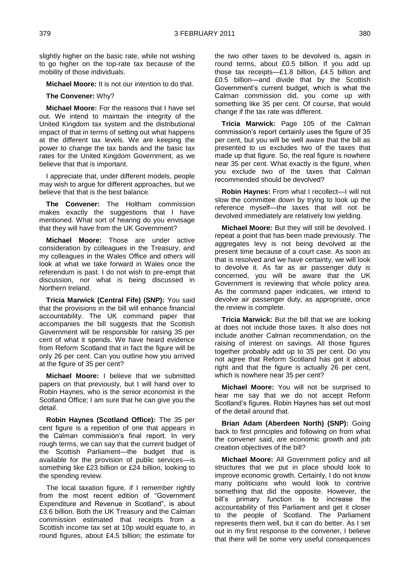slightly higher on the basic rate, while not wishing to go higher on the top-rate tax because of the mobility of those individuals.

**Michael Moore:** It is not our intention to do that.

**The Convener:** Why?

**Michael Moore:** For the reasons that I have set out. We intend to maintain the integrity of the United Kingdom tax system and the distributional impact of that in terms of setting out what happens at the different tax levels. We are keeping the power to change the tax bands and the basic tax rates for the United Kingdom Government, as we believe that that is important.

I appreciate that, under different models, people may wish to argue for different approaches, but we believe that that is the best balance.

**The Convener:** The Holtham commission makes exactly the suggestions that I have mentioned. What sort of hearing do you envisage that they will have from the UK Government?

**Michael Moore:** Those are under active consideration by colleagues in the Treasury, and my colleagues in the Wales Office and others will look at what we take forward in Wales once the referendum is past. I do not wish to pre-empt that discussion, nor what is being discussed in Northern Ireland.

**Tricia Marwick (Central Fife) (SNP):** You said that the provisions in the bill will enhance financial accountability. The UK command paper that accompanies the bill suggests that the Scottish Government will be responsible for raising 35 per cent of what it spends. We have heard evidence from Reform Scotland that in fact the figure will be only 26 per cent. Can you outline how you arrived at the figure of 35 per cent?

**Michael Moore:** I believe that we submitted papers on that previously, but I will hand over to Robin Haynes, who is the senior economist in the Scotland Office; I am sure that he can give you the detail.

**Robin Haynes (Scotland Office):** The 35 per cent figure is a repetition of one that appears in the Calman commission's final report. In very rough terms, we can say that the current budget of the Scottish Parliament—the budget that is available for the provision of public services—is something like £23 billion or £24 billion, looking to the spending review.

The local taxation figure, if I remember rightly from the most recent edition of "Government Expenditure and Revenue in Scotland", is about £3.6 billion. Both the UK Treasury and the Calman commission estimated that receipts from a Scottish income tax set at 10p would equate to, in round figures, about £4.5 billion; the estimate for

the two other taxes to be devolved is, again in round terms, about £0.5 billion. If you add up those tax receipts—£1.8 billion, £4.5 billion and £0.5 billion—and divide that by the Scottish Government's current budget, which is what the Calman commission did, you come up with something like 35 per cent. Of course, that would change if the tax rate was different.

**Tricia Marwick:** Page 105 of the Calman commission's report certainly uses the figure of 35 per cent, but you will be well aware that the bill as presented to us excludes two of the taxes that made up that figure. So, the real figure is nowhere near 35 per cent. What exactly is the figure, when you exclude two of the taxes that Calman recommended should be devolved?

**Robin Haynes:** From what I recollect—I will not slow the committee down by trying to look up the reference myself—the taxes that will not be devolved immediately are relatively low yielding.

**Michael Moore:** But they will still be devolved. I repeat a point that has been made previously. The aggregates levy is not being devolved at the present time because of a court case. As soon as that is resolved and we have certainty, we will look to devolve it. As far as air passenger duty is concerned, you will be aware that the UK Government is reviewing that whole policy area. As the command paper indicates, we intend to devolve air passenger duty, as appropriate, once the review is complete.

**Tricia Marwick:** But the bill that we are looking at does not include those taxes. It also does not include another Calman recommendation, on the raising of interest on savings. All those figures together probably add up to 35 per cent. Do you not agree that Reform Scotland has got it about right and that the figure is actually 26 per cent, which is nowhere near 35 per cent?

**Michael Moore:** You will not be surprised to hear me say that we do not accept Reform Scotland's figures. Robin Haynes has set out most of the detail around that.

**Brian Adam (Aberdeen North) (SNP):** Going back to first principles and following on from what the convener said, are economic growth and job creation objectives of the bill?

**Michael Moore:** All Government policy and all structures that we put in place should look to improve economic growth. Certainly, I do not know many politicians who would look to contrive something that did the opposite. However, the bill's primary function is to increase the accountability of this Parliament and get it closer to the people of Scotland. The Parliament represents them well, but it can do better. As I set out in my first response to the convener, I believe that there will be some very useful consequences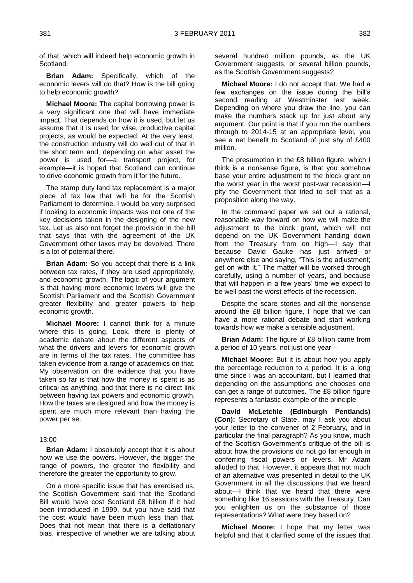of that, which will indeed help economic growth in Scotland.

**Brian Adam:** Specifically, which of the economic levers will do that? How is the bill going to help economic growth?

**Michael Moore:** The capital borrowing power is a very significant one that will have immediate impact. That depends on how it is used, but let us assume that it is used for wise, productive capital projects, as would be expected. At the very least, the construction industry will do well out of that in the short term and, depending on what asset the power is used for—a transport project, for example—it is hoped that Scotland can continue to drive economic growth from it for the future.

The stamp duty land tax replacement is a major piece of tax law that will be for the Scottish Parliament to determine. I would be very surprised if looking to economic impacts was not one of the key decisions taken in the designing of the new tax. Let us also not forget the provision in the bill that says that with the agreement of the UK Government other taxes may be devolved. There is a lot of potential there.

**Brian Adam:** So you accept that there is a link between tax rates, if they are used appropriately, and economic growth. The logic of your argument is that having more economic levers will give the Scottish Parliament and the Scottish Government greater flexibility and greater powers to help economic growth.

**Michael Moore:** I cannot think for a minute where this is going. Look, there is plenty of academic debate about the different aspects of what the drivers and levers for economic growth are in terms of the tax rates. The committee has taken evidence from a range of academics on that. My observation on the evidence that you have taken so far is that how the money is spent is as critical as anything, and that there is no direct link between having tax powers and economic growth. How the taxes are designed and how the money is spent are much more relevant than having the power per se.

#### 13:00

**Brian Adam:** I absolutely accept that it is about how we use the powers. However, the bigger the range of powers, the greater the flexibility and therefore the greater the opportunity to grow.

On a more specific issue that has exercised us, the Scottish Government said that the Scotland Bill would have cost Scotland £8 billion if it had been introduced in 1999, but you have said that the cost would have been much less than that. Does that not mean that there is a deflationary bias, irrespective of whether we are talking about several hundred million pounds, as the UK Government suggests, or several billion pounds, as the Scottish Government suggests?

**Michael Moore:** I do not accept that. We had a few exchanges on the issue during the bill's second reading at Westminster last week. Depending on where you draw the line, you can make the numbers stack up for just about any argument. Our point is that if you run the numbers through to 2014-15 at an appropriate level, you see a net benefit to Scotland of just shy of £400 million.

The presumption in the £8 billion figure, which I think is a nonsense figure, is that you somehow base your entire adjustment to the block grant on the worst year in the worst post-war recession—I pity the Government that tried to sell that as a proposition along the way.

In the command paper we set out a rational, reasonable way forward on how we will make the adjustment to the block grant, which will not depend on the UK Government handing down from the Treasury from on high—I say that because David Gauke has just arrived—or anywhere else and saying, "This is the adjustment; get on with it." The matter will be worked through carefully, using a number of years, and because that will happen in a few years' time we expect to be well past the worst effects of the recession.

Despite the scare stories and all the nonsense around the £8 billion figure, I hope that we can have a more rational debate and start working towards how we make a sensible adjustment.

**Brian Adam:** The figure of £8 billion came from a period of 10 years, not just one year-

**Michael Moore:** But it is about how you apply the percentage reduction to a period. It is a long time since I was an accountant, but I learned that depending on the assumptions one chooses one can get a range of outcomes. The £8 billion figure represents a fantastic example of the principle.

**David McLetchie (Edinburgh Pentlands) (Con):** Secretary of State, may I ask you about your letter to the convener of 2 February, and in particular the final paragraph? As you know, much of the Scottish Government's critique of the bill is about how the provisions do not go far enough in conferring fiscal powers or levers. Mr Adam alluded to that. However, it appears that not much of an alternative was presented in detail to the UK Government in all the discussions that we heard about—I think that we heard that there were something like 16 sessions with the Treasury. Can you enlighten us on the substance of those representations? What were they based on?

**Michael Moore:** I hope that my letter was helpful and that it clarified some of the issues that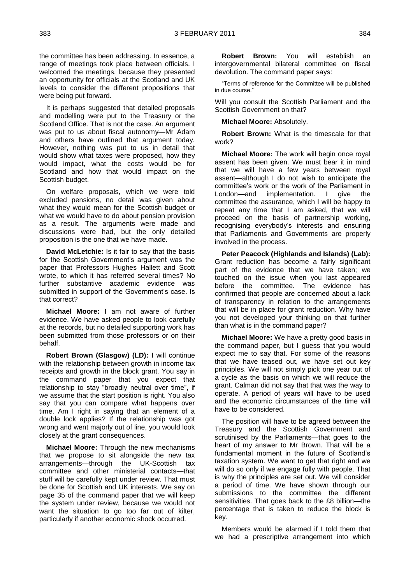the committee has been addressing. In essence, a range of meetings took place between officials. I welcomed the meetings, because they presented an opportunity for officials at the Scotland and UK levels to consider the different propositions that were being put forward.

It is perhaps suggested that detailed proposals and modelling were put to the Treasury or the Scotland Office. That is not the case. An argument was put to us about fiscal autonomy—Mr Adam and others have outlined that argument today. However, nothing was put to us in detail that would show what taxes were proposed, how they would impact, what the costs would be for Scotland and how that would impact on the Scottish budget.

On welfare proposals, which we were told excluded pensions, no detail was given about what they would mean for the Scottish budget or what we would have to do about pension provision as a result. The arguments were made and discussions were had, but the only detailed proposition is the one that we have made.

**David McLetchie:** Is it fair to say that the basis for the Scottish Government's argument was the paper that Professors Hughes Hallett and Scott wrote, to which it has referred several times? No further substantive academic evidence was submitted in support of the Government's case. Is that correct?

**Michael Moore:** I am not aware of further evidence. We have asked people to look carefully at the records, but no detailed supporting work has been submitted from those professors or on their behalf.

**Robert Brown (Glasgow) (LD):** I will continue with the relationship between growth in income tax receipts and growth in the block grant. You say in the command paper that you expect that relationship to stay "broadly neutral over time", if we assume that the start position is right. You also say that you can compare what happens over time. Am I right in saying that an element of a double lock applies? If the relationship was got wrong and went majorly out of line, you would look closely at the grant consequences.

**Michael Moore:** Through the new mechanisms that we propose to sit alongside the new tax arrangements—through the UK-Scottish tax committee and other ministerial contacts—that stuff will be carefully kept under review. That must be done for Scottish and UK interests. We say on page 35 of the command paper that we will keep the system under review, because we would not want the situation to go too far out of kilter, particularly if another economic shock occurred.

**Robert Brown:** You will establish an intergovernmental bilateral committee on fiscal devolution. The command paper says:

"Terms of reference for the Committee will be published in due course."

Will you consult the Scottish Parliament and the Scottish Government on that?

**Michael Moore:** Absolutely.

**Robert Brown:** What is the timescale for that work?

**Michael Moore:** The work will begin once royal assent has been given. We must bear it in mind that we will have a few years between royal assent—although I do not wish to anticipate the committee's work or the work of the Parliament in London—and implementation. I give the committee the assurance, which I will be happy to repeat any time that I am asked, that we will proceed on the basis of partnership working, recognising everybody's interests and ensuring that Parliaments and Governments are properly involved in the process.

**Peter Peacock (Highlands and Islands) (Lab):**  Grant reduction has become a fairly significant part of the evidence that we have taken; we touched on the issue when you last appeared before the committee. The evidence has confirmed that people are concerned about a lack of transparency in relation to the arrangements that will be in place for grant reduction. Why have you not developed your thinking on that further than what is in the command paper?

**Michael Moore:** We have a pretty good basis in the command paper, but I guess that you would expect me to say that. For some of the reasons that we have teased out, we have set out key principles. We will not simply pick one year out of a cycle as the basis on which we will reduce the grant. Calman did not say that that was the way to operate. A period of years will have to be used and the economic circumstances of the time will have to be considered.

The position will have to be agreed between the Treasury and the Scottish Government and scrutinised by the Parliaments—that goes to the heart of my answer to Mr Brown. That will be a fundamental moment in the future of Scotland's taxation system. We want to get that right and we will do so only if we engage fully with people. That is why the principles are set out. We will consider a period of time. We have shown through our submissions to the committee the different sensitivities. That goes back to the £8 billion—the percentage that is taken to reduce the block is key.

Members would be alarmed if I told them that we had a prescriptive arrangement into which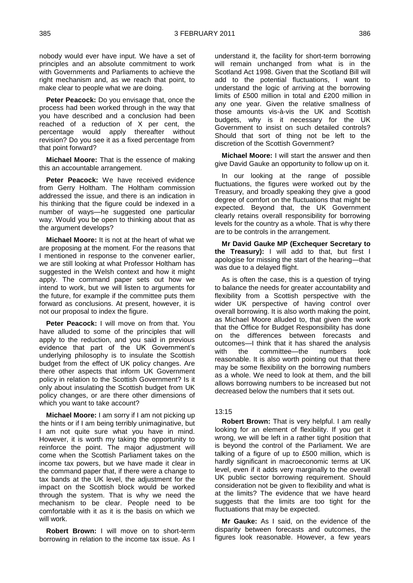nobody would ever have input. We have a set of principles and an absolute commitment to work with Governments and Parliaments to achieve the right mechanism and, as we reach that point, to make clear to people what we are doing.

**Peter Peacock:** Do you envisage that, once the process had been worked through in the way that you have described and a conclusion had been reached of a reduction of X per cent, the percentage would apply thereafter without revision? Do you see it as a fixed percentage from that point forward?

**Michael Moore:** That is the essence of making this an accountable arrangement.

Peter Peacock: We have received evidence from Gerry Holtham. The Holtham commission addressed the issue, and there is an indication in his thinking that the figure could be indexed in a number of ways—he suggested one particular way. Would you be open to thinking about that as the argument develops?

**Michael Moore:** It is not at the heart of what we are proposing at the moment. For the reasons that I mentioned in response to the convener earlier, we are still looking at what Professor Holtham has suggested in the Welsh context and how it might apply. The command paper sets out how we intend to work, but we will listen to arguments for the future, for example if the committee puts them forward as conclusions. At present, however, it is not our proposal to index the figure.

**Peter Peacock:** I will move on from that. You have alluded to some of the principles that will apply to the reduction, and you said in previous evidence that part of the UK Government's underlying philosophy is to insulate the Scottish budget from the effect of UK policy changes. Are there other aspects that inform UK Government policy in relation to the Scottish Government? Is it only about insulating the Scottish budget from UK policy changes, or are there other dimensions of which you want to take account?

**Michael Moore:** I am sorry if I am not picking up the hints or if I am being terribly unimaginative, but I am not quite sure what you have in mind. However, it is worth my taking the opportunity to reinforce the point. The major adjustment will come when the Scottish Parliament takes on the income tax powers, but we have made it clear in the command paper that, if there were a change to tax bands at the UK level, the adjustment for the impact on the Scottish block would be worked through the system. That is why we need the mechanism to be clear. People need to be comfortable with it as it is the basis on which we will work.

**Robert Brown:** I will move on to short-term borrowing in relation to the income tax issue. As I understand it, the facility for short-term borrowing will remain unchanged from what is in the Scotland Act 1998. Given that the Scotland Bill will add to the potential fluctuations, I want to understand the logic of arriving at the borrowing limits of £500 million in total and £200 million in any one year. Given the relative smallness of those amounts vis-à-vis the UK and Scottish budgets, why is it necessary for the UK Government to insist on such detailed controls? Should that sort of thing not be left to the discretion of the Scottish Government?

**Michael Moore:** I will start the answer and then give David Gauke an opportunity to follow up on it.

In our looking at the range of possible fluctuations, the figures were worked out by the Treasury, and broadly speaking they give a good degree of comfort on the fluctuations that might be expected. Beyond that, the UK Government clearly retains overall responsibility for borrowing levels for the country as a whole. That is why there are to be controls in the arrangement.

**Mr David Gauke MP (Exchequer Secretary to the Treasury):** I will add to that, but first I apologise for missing the start of the hearing—that was due to a delayed flight.

As is often the case, this is a question of trying to balance the needs for greater accountability and flexibility from a Scottish perspective with the wider UK perspective of having control over overall borrowing. It is also worth making the point, as Michael Moore alluded to, that given the work that the Office for Budget Responsibility has done on the differences between forecasts and outcomes—I think that it has shared the analysis with the committee—the numbers look reasonable. It is also worth pointing out that there may be some flexibility on the borrowing numbers as a whole. We need to look at them, and the bill allows borrowing numbers to be increased but not decreased below the numbers that it sets out.

#### 13:15

**Robert Brown:** That is very helpful. I am really looking for an element of flexibility. If you get it wrong, we will be left in a rather tight position that is beyond the control of the Parliament. We are talking of a figure of up to £500 million, which is hardly significant in macroeconomic terms at UK level, even if it adds very marginally to the overall UK public sector borrowing requirement. Should consideration not be given to flexibility and what is at the limits? The evidence that we have heard suggests that the limits are too tight for the fluctuations that may be expected.

**Mr Gauke:** As I said, on the evidence of the disparity between forecasts and outcomes, the figures look reasonable. However, a few years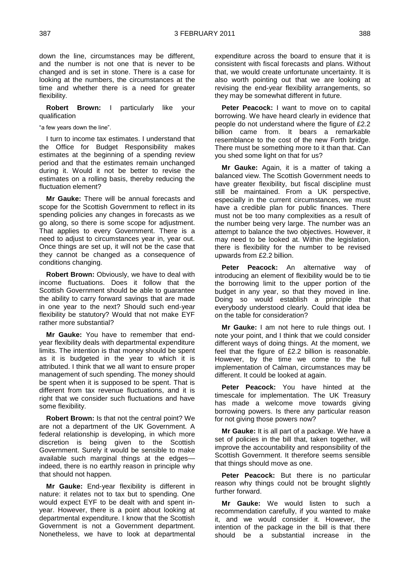down the line, circumstances may be different, and the number is not one that is never to be changed and is set in stone. There is a case for looking at the numbers, the circumstances at the time and whether there is a need for greater flexibility.

**Robert Brown:** I particularly like your qualification

"a few years down the line".

I turn to income tax estimates. I understand that the Office for Budget Responsibility makes estimates at the beginning of a spending review period and that the estimates remain unchanged during it. Would it not be better to revise the estimates on a rolling basis, thereby reducing the fluctuation element?

**Mr Gauke:** There will be annual forecasts and scope for the Scottish Government to reflect in its spending policies any changes in forecasts as we go along, so there is some scope for adjustment. That applies to every Government. There is a need to adjust to circumstances year in, year out. Once things are set up, it will not be the case that they cannot be changed as a consequence of conditions changing.

**Robert Brown:** Obviously, we have to deal with income fluctuations. Does it follow that the Scottish Government should be able to guarantee the ability to carry forward savings that are made in one year to the next? Should such end-year flexibility be statutory? Would that not make EYF rather more substantial?

**Mr Gauke:** You have to remember that endyear flexibility deals with departmental expenditure limits. The intention is that money should be spent as it is budgeted in the year to which it is attributed. I think that we all want to ensure proper management of such spending. The money should be spent when it is supposed to be spent. That is different from tax revenue fluctuations, and it is right that we consider such fluctuations and have some flexibility.

**Robert Brown:** Is that not the central point? We are not a department of the UK Government. A federal relationship is developing, in which more discretion is being given to the Scottish Government. Surely it would be sensible to make available such marginal things at the edges indeed, there is no earthly reason in principle why that should not happen.

**Mr Gauke:** End-year flexibility is different in nature: it relates not to tax but to spending. One would expect EYF to be dealt with and spent inyear. However, there is a point about looking at departmental expenditure. I know that the Scottish Government is not a Government department. Nonetheless, we have to look at departmental

expenditure across the board to ensure that it is consistent with fiscal forecasts and plans. Without that, we would create unfortunate uncertainty. It is also worth pointing out that we are looking at revising the end-year flexibility arrangements, so they may be somewhat different in future.

**Peter Peacock:** I want to move on to capital borrowing. We have heard clearly in evidence that people do not understand where the figure of £2.2 billion came from. It bears a remarkable resemblance to the cost of the new Forth bridge. There must be something more to it than that. Can you shed some light on that for us?

**Mr Gauke:** Again, it is a matter of taking a balanced view. The Scottish Government needs to have greater flexibility, but fiscal discipline must still be maintained. From a UK perspective, especially in the current circumstances, we must have a credible plan for public finances. There must not be too many complexities as a result of the number being very large. The number was an attempt to balance the two objectives. However, it may need to be looked at. Within the legislation, there is flexibility for the number to be revised upwards from £2.2 billion.

Peter Peacock: An alternative way of introducing an element of flexibility would be to tie the borrowing limit to the upper portion of the budget in any year, so that they moved in line. Doing so would establish a principle that everybody understood clearly. Could that idea be on the table for consideration?

**Mr Gauke:** I am not here to rule things out. I note your point, and I think that we could consider different ways of doing things. At the moment, we feel that the figure of £2.2 billion is reasonable. However, by the time we come to the full implementation of Calman, circumstances may be different. It could be looked at again.

**Peter Peacock:** You have hinted at the timescale for implementation. The UK Treasury has made a welcome move towards giving borrowing powers. Is there any particular reason for not giving those powers now?

**Mr Gauke:** It is all part of a package. We have a set of policies in the bill that, taken together, will improve the accountability and responsibility of the Scottish Government. It therefore seems sensible that things should move as one.

Peter Peacock: But there is no particular reason why things could not be brought slightly further forward.

**Mr Gauke:** We would listen to such a recommendation carefully, if you wanted to make it, and we would consider it. However, the intention of the package in the bill is that there should be a substantial increase in the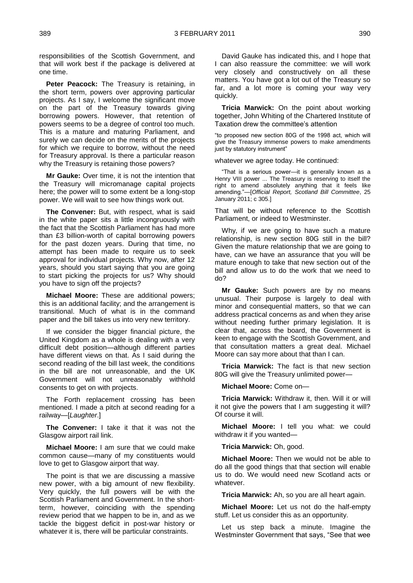responsibilities of the Scottish Government, and that will work best if the package is delivered at one time.

**Peter Peacock:** The Treasury is retaining, in the short term, powers over approving particular projects. As I say, I welcome the significant move on the part of the Treasury towards giving borrowing powers. However, that retention of powers seems to be a degree of control too much. This is a mature and maturing Parliament, and surely we can decide on the merits of the projects for which we require to borrow, without the need for Treasury approval. Is there a particular reason why the Treasury is retaining those powers?

**Mr Gauke:** Over time, it is not the intention that the Treasury will micromanage capital projects here; the power will to some extent be a long-stop power. We will wait to see how things work out.

**The Convener:** But, with respect, what is said in the white paper sits a little incongruously with the fact that the Scottish Parliament has had more than £3 billion-worth of capital borrowing powers for the past dozen years. During that time, no attempt has been made to require us to seek approval for individual projects. Why now, after 12 years, should you start saying that you are going to start picking the projects for us? Why should you have to sign off the projects?

**Michael Moore:** These are additional powers; this is an additional facility; and the arrangement is transitional. Much of what is in the command paper and the bill takes us into very new territory.

If we consider the bigger financial picture, the United Kingdom as a whole is dealing with a very difficult debt position—although different parties have different views on that. As I said during the second reading of the bill last week, the conditions in the bill are not unreasonable, and the UK Government will not unreasonably withhold consents to get on with projects.

The Forth replacement crossing has been mentioned. I made a pitch at second reading for a railway—[*Laughter*.]

**The Convener:** I take it that it was not the Glasgow airport rail link.

**Michael Moore:** I am sure that we could make common cause—many of my constituents would love to get to Glasgow airport that way.

The point is that we are discussing a massive new power, with a big amount of new flexibility. Very quickly, the full powers will be with the Scottish Parliament and Government. In the shortterm, however, coinciding with the spending review period that we happen to be in, and as we tackle the biggest deficit in post-war history or whatever it is, there will be particular constraints.

David Gauke has indicated this, and I hope that I can also reassure the committee: we will work very closely and constructively on all these matters. You have got a lot out of the Treasury so far, and a lot more is coming your way very quickly.

**Tricia Marwick:** On the point about working together, John Whiting of the Chartered Institute of Taxation drew the committee's attention

"to proposed new section 80G of the 1998 act, which will give the Treasury immense powers to make amendments just by statutory instrument"

whatever we agree today. He continued:

"That is a serious power—it is generally known as a Henry VIII power ... The Treasury is reserving to itself the right to amend absolutely anything that it feels like amending."—[*Official Report, Scotland Bill Committee*, 25 January 2011; c 305.]

That will be without reference to the Scottish Parliament, or indeed to Westminster.

Why, if we are going to have such a mature relationship, is new section 80G still in the bill? Given the mature relationship that we are going to have, can we have an assurance that you will be mature enough to take that new section out of the bill and allow us to do the work that we need to do?

**Mr Gauke:** Such powers are by no means unusual. Their purpose is largely to deal with minor and consequential matters, so that we can address practical concerns as and when they arise without needing further primary legislation. It is clear that, across the board, the Government is keen to engage with the Scottish Government, and that consultation matters a great deal. Michael Moore can say more about that than I can.

**Tricia Marwick:** The fact is that new section 80G will give the Treasury unlimited power—

**Michael Moore:** Come on—

**Tricia Marwick:** Withdraw it, then. Will it or will it not give the powers that I am suggesting it will? Of course it will.

**Michael Moore:** I tell you what: we could withdraw it if you wanted—

**Tricia Marwick:** Oh, good.

**Michael Moore:** Then we would not be able to do all the good things that that section will enable us to do. We would need new Scotland acts or whatever.

**Tricia Marwick:** Ah, so you are all heart again.

**Michael Moore:** Let us not do the half-empty stuff. Let us consider this as an opportunity.

Let us step back a minute. Imagine the Westminster Government that says, "See that wee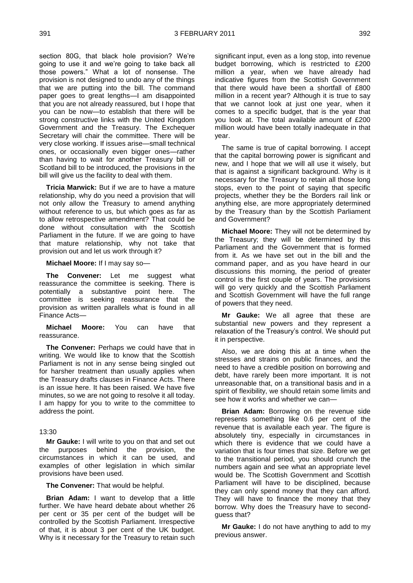section 80G, that black hole provision? We're going to use it and we're going to take back all those powers." What a lot of nonsense. The provision is not designed to undo any of the things that we are putting into the bill. The command paper goes to great lengths—I am disappointed that you are not already reassured, but I hope that you can be now—to establish that there will be strong constructive links with the United Kingdom Government and the Treasury. The Exchequer Secretary will chair the committee. There will be very close working. If issues arise—small technical ones, or occasionally even bigger ones—rather than having to wait for another Treasury bill or Scotland bill to be introduced, the provisions in the bill will give us the facility to deal with them.

**Tricia Marwick:** But if we are to have a mature relationship, why do you need a provision that will not only allow the Treasury to amend anything without reference to us, but which goes as far as to allow retrospective amendment? That could be done without consultation with the Scottish Parliament in the future. If we are going to have that mature relationship, why not take that provision out and let us work through it?

**Michael Moore:** If I may say so—

**The Convener:** Let me suggest what reassurance the committee is seeking. There is potentially a substantive point here. The committee is seeking reassurance that the provision as written parallels what is found in all Finance Acts—

**Michael Moore:** You can have that reassurance.

**The Convener:** Perhaps we could have that in writing. We would like to know that the Scottish Parliament is not in any sense being singled out for harsher treatment than usually applies when the Treasury drafts clauses in Finance Acts. There is an issue here. It has been raised. We have five minutes, so we are not going to resolve it all today. I am happy for you to write to the committee to address the point.

#### 13:30

**Mr Gauke:** I will write to you on that and set out the purposes behind the provision, the circumstances in which it can be used, and examples of other legislation in which similar provisions have been used.

**The Convener:** That would be helpful.

**Brian Adam:** I want to develop that a little further. We have heard debate about whether 26 per cent or 35 per cent of the budget will be controlled by the Scottish Parliament. Irrespective of that, it is about 3 per cent of the UK budget. Why is it necessary for the Treasury to retain such significant input, even as a long stop, into revenue budget borrowing, which is restricted to £200 million a year, when we have already had indicative figures from the Scottish Government that there would have been a shortfall of £800 million in a recent year? Although it is true to say that we cannot look at just one year, when it comes to a specific budget, that is the year that you look at. The total available amount of £200 million would have been totally inadequate in that year.

The same is true of capital borrowing. I accept that the capital borrowing power is significant and new, and I hope that we will all use it wisely, but that is against a significant background. Why is it necessary for the Treasury to retain all those long stops, even to the point of saying that specific projects, whether they be the Borders rail link or anything else, are more appropriately determined by the Treasury than by the Scottish Parliament and Government?

**Michael Moore:** They will not be determined by the Treasury; they will be determined by this Parliament and the Government that is formed from it. As we have set out in the bill and the command paper, and as you have heard in our discussions this morning, the period of greater control is the first couple of years. The provisions will go very quickly and the Scottish Parliament and Scottish Government will have the full range of powers that they need.

**Mr Gauke:** We all agree that these are substantial new powers and they represent a relaxation of the Treasury's control. We should put it in perspective.

Also, we are doing this at a time when the stresses and strains on public finances, and the need to have a credible position on borrowing and debt, have rarely been more important. It is not unreasonable that, on a transitional basis and in a spirit of flexibility, we should retain some limits and see how it works and whether we can—

**Brian Adam:** Borrowing on the revenue side represents something like 0.6 per cent of the revenue that is available each year. The figure is absolutely tiny, especially in circumstances in which there is evidence that we could have a variation that is four times that size. Before we get to the transitional period, you should crunch the numbers again and see what an appropriate level would be. The Scottish Government and Scottish Parliament will have to be disciplined, because they can only spend money that they can afford. They will have to finance the money that they borrow. Why does the Treasury have to secondguess that?

**Mr Gauke:** I do not have anything to add to my previous answer.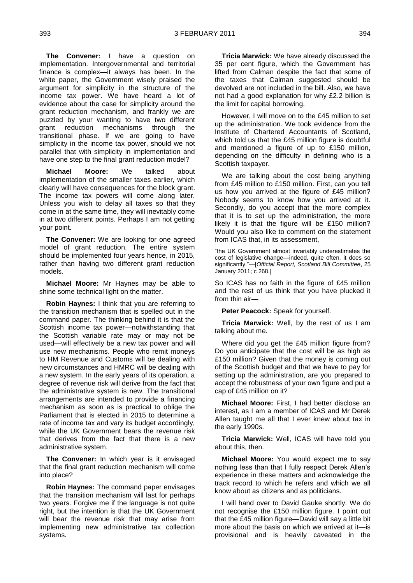**The Convener:** I have a question on implementation. Intergovernmental and territorial finance is complex—it always has been. In the white paper, the Government wisely praised the argument for simplicity in the structure of the income tax power. We have heard a lot of evidence about the case for simplicity around the grant reduction mechanism, and frankly we are puzzled by your wanting to have two different grant reduction mechanisms through the transitional phase. If we are going to have simplicity in the income tax power, should we not parallel that with simplicity in implementation and have one step to the final grant reduction model?

**Michael Moore:** We talked about implementation of the smaller taxes earlier, which clearly will have consequences for the block grant. The income tax powers will come along later. Unless you wish to delay all taxes so that they come in at the same time, they will inevitably come in at two different points. Perhaps I am not getting your point.

**The Convener:** We are looking for one agreed model of grant reduction. The entire system should be implemented four years hence, in 2015, rather than having two different grant reduction models.

**Michael Moore:** Mr Haynes may be able to shine some technical light on the matter.

**Robin Haynes:** I think that you are referring to the transition mechanism that is spelled out in the command paper. The thinking behind it is that the Scottish income tax power—notwithstanding that the Scottish variable rate may or may not be used—will effectively be a new tax power and will use new mechanisms. People who remit moneys to HM Revenue and Customs will be dealing with new circumstances and HMRC will be dealing with a new system. In the early years of its operation, a degree of revenue risk will derive from the fact that the administrative system is new. The transitional arrangements are intended to provide a financing mechanism as soon as is practical to oblige the Parliament that is elected in 2015 to determine a rate of income tax and vary its budget accordingly, while the UK Government bears the revenue risk that derives from the fact that there is a new administrative system.

**The Convener:** In which year is it envisaged that the final grant reduction mechanism will come into place?

**Robin Haynes:** The command paper envisages that the transition mechanism will last for perhaps two years. Forgive me if the language is not quite right, but the intention is that the UK Government will bear the revenue risk that may arise from implementing new administrative tax collection systems.

**Tricia Marwick:** We have already discussed the 35 per cent figure, which the Government has lifted from Calman despite the fact that some of the taxes that Calman suggested should be devolved are not included in the bill. Also, we have not had a good explanation for why £2.2 billion is the limit for capital borrowing.

However, I will move on to the £45 million to set up the administration. We took evidence from the Institute of Chartered Accountants of Scotland, which told us that the £45 million figure is doubtful and mentioned a figure of up to £150 million, depending on the difficulty in defining who is a Scottish taxpayer.

We are talking about the cost being anything from £45 million to £150 million. First, can you tell us how you arrived at the figure of £45 million? Nobody seems to know how you arrived at it. Secondly, do you accept that the more complex that it is to set up the administration, the more likely it is that the figure will be £150 million? Would you also like to comment on the statement from ICAS that, in its assessment.

"the UK Government almost invariably underestimates the cost of legislative change—indeed, quite often, it does so significantly."—[*Official Report, Scotland Bill Committee*, 25 January 2011; c 268.]

So ICAS has no faith in the figure of £45 million and the rest of us think that you have plucked it from thin air—

**Peter Peacock:** Speak for yourself.

**Tricia Marwick:** Well, by the rest of us I am talking about me.

Where did you get the £45 million figure from? Do you anticipate that the cost will be as high as £150 million? Given that the money is coming out of the Scottish budget and that we have to pay for setting up the administration, are you prepared to accept the robustness of your own figure and put a cap of £45 million on it?

**Michael Moore:** First, I had better disclose an interest, as I am a member of ICAS and Mr Derek Allen taught me all that I ever knew about tax in the early 1990s.

**Tricia Marwick:** Well, ICAS will have told you about this, then.

**Michael Moore:** You would expect me to say nothing less than that I fully respect Derek Allen's experience in these matters and acknowledge the track record to which he refers and which we all know about as citizens and as politicians.

I will hand over to David Gauke shortly. We do not recognise the £150 million figure. I point out that the £45 million figure—David will say a little bit more about the basis on which we arrived at it—is provisional and is heavily caveated in the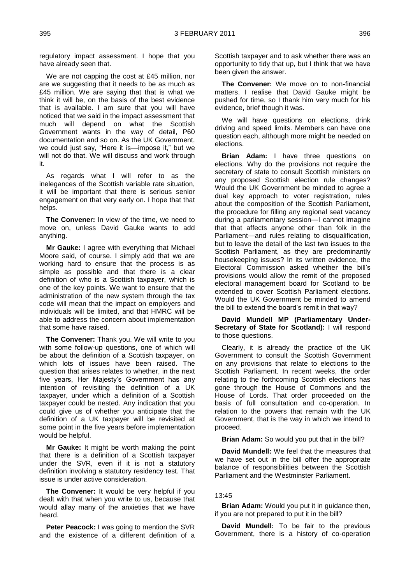regulatory impact assessment. I hope that you have already seen that.

We are not capping the cost at £45 million, nor are we suggesting that it needs to be as much as £45 million. We are saying that that is what we think it will be, on the basis of the best evidence that is available. I am sure that you will have noticed that we said in the impact assessment that much will depend on what the Scottish Government wants in the way of detail, P60 documentation and so on. As the UK Government, we could just say, "Here it is—impose it," but we will not do that. We will discuss and work through it.

As regards what I will refer to as the inelegances of the Scottish variable rate situation, it will be important that there is serious senior engagement on that very early on. I hope that that helps.

**The Convener:** In view of the time, we need to move on, unless David Gauke wants to add anything.

**Mr Gauke:** I agree with everything that Michael Moore said, of course. I simply add that we are working hard to ensure that the process is as simple as possible and that there is a clear definition of who is a Scottish taxpayer, which is one of the key points. We want to ensure that the administration of the new system through the tax code will mean that the impact on employers and individuals will be limited, and that HMRC will be able to address the concern about implementation that some have raised.

**The Convener:** Thank you. We will write to you with some follow-up questions, one of which will be about the definition of a Scottish taxpayer, on which lots of issues have been raised. The question that arises relates to whether, in the next five years, Her Majesty's Government has any intention of revisiting the definition of a UK taxpayer, under which a definition of a Scottish taxpayer could be nested. Any indication that you could give us of whether you anticipate that the definition of a UK taxpayer will be revisited at some point in the five years before implementation would be helpful.

**Mr Gauke:** It might be worth making the point that there is a definition of a Scottish taxpayer under the SVR, even if it is not a statutory definition involving a statutory residency test. That issue is under active consideration.

**The Convener:** It would be very helpful if you dealt with that when you write to us, because that would allay many of the anxieties that we have heard.

**Peter Peacock:** I was going to mention the SVR and the existence of a different definition of a Scottish taxpayer and to ask whether there was an opportunity to tidy that up, but I think that we have been given the answer.

**The Convener:** We move on to non-financial matters. I realise that David Gauke might be pushed for time, so I thank him very much for his evidence, brief though it was.

We will have questions on elections, drink driving and speed limits. Members can have one question each, although more might be needed on elections.

**Brian Adam:** I have three questions on elections. Why do the provisions not require the secretary of state to consult Scottish ministers on any proposed Scottish election rule changes? Would the UK Government be minded to agree a dual key approach to voter registration, rules about the composition of the Scottish Parliament, the procedure for filling any regional seat vacancy during a parliamentary session—I cannot imagine that that affects anyone other than folk in the Parliament—and rules relating to disqualification, but to leave the detail of the last two issues to the Scottish Parliament, as they are predominantly housekeeping issues? In its written evidence, the Electoral Commission asked whether the bill's provisions would allow the remit of the proposed electoral management board for Scotland to be extended to cover Scottish Parliament elections. Would the UK Government be minded to amend the bill to extend the board's remit in that way?

**David Mundell MP (Parliamentary Under-Secretary of State for Scotland):** I will respond to those questions.

Clearly, it is already the practice of the UK Government to consult the Scottish Government on any provisions that relate to elections to the Scottish Parliament. In recent weeks, the order relating to the forthcoming Scottish elections has gone through the House of Commons and the House of Lords. That order proceeded on the basis of full consultation and co-operation. In relation to the powers that remain with the UK Government, that is the way in which we intend to proceed.

**Brian Adam:** So would you put that in the bill?

**David Mundell:** We feel that the measures that we have set out in the bill offer the appropriate balance of responsibilities between the Scottish Parliament and the Westminster Parliament.

#### 13:45

**Brian Adam:** Would you put it in guidance then, if you are not prepared to put it in the bill?

**David Mundell:** To be fair to the previous Government, there is a history of co-operation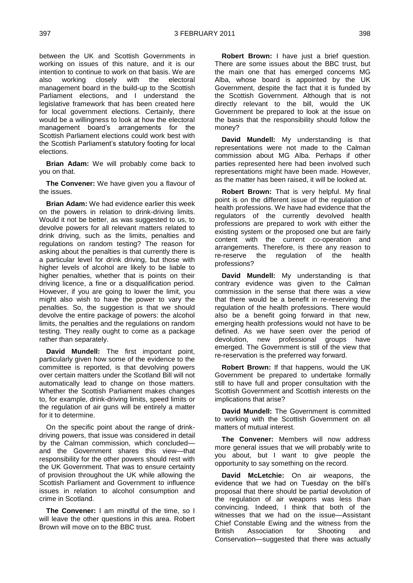between the UK and Scottish Governments in working on issues of this nature, and it is our intention to continue to work on that basis. We are also working closely with the electoral management board in the build-up to the Scottish Parliament elections, and I understand the legislative framework that has been created here for local government elections. Certainly, there would be a willingness to look at how the electoral management board's arrangements for the Scottish Parliament elections could work best with the Scottish Parliament's statutory footing for local elections.

**Brian Adam:** We will probably come back to you on that.

**The Convener:** We have given you a flavour of the issues.

**Brian Adam:** We had evidence earlier this week on the powers in relation to drink-driving limits. Would it not be better, as was suggested to us, to devolve powers for all relevant matters related to drink driving, such as the limits, penalties and regulations on random testing? The reason for asking about the penalties is that currently there is a particular level for drink driving, but those with higher levels of alcohol are likely to be liable to higher penalties, whether that is points on their driving licence, a fine or a disqualification period. However, if you are going to lower the limit, you might also wish to have the power to vary the penalties. So, the suggestion is that we should devolve the entire package of powers: the alcohol limits, the penalties and the regulations on random testing. They really ought to come as a package rather than separately.

**David Mundell:** The first important point, particularly given how some of the evidence to the committee is reported, is that devolving powers over certain matters under the Scotland Bill will not automatically lead to change on those matters. Whether the Scottish Parliament makes changes to, for example, drink-driving limits, speed limits or the regulation of air guns will be entirely a matter for it to determine.

On the specific point about the range of drinkdriving powers, that issue was considered in detail by the Calman commission, which concluded and the Government shares this view—that responsibility for the other powers should rest with the UK Government. That was to ensure certainty of provision throughout the UK while allowing the Scottish Parliament and Government to influence issues in relation to alcohol consumption and crime in Scotland.

**The Convener:** I am mindful of the time, so I will leave the other questions in this area. Robert Brown will move on to the BBC trust.

**Robert Brown:** I have just a brief question. There are some issues about the BBC trust, but the main one that has emerged concerns MG Alba, whose board is appointed by the UK Government, despite the fact that it is funded by the Scottish Government. Although that is not directly relevant to the bill, would the UK Government be prepared to look at the issue on the basis that the responsibility should follow the money?

**David Mundell:** My understanding is that representations were not made to the Calman commission about MG Alba. Perhaps if other parties represented here had been involved such representations might have been made. However, as the matter has been raised, it will be looked at.

**Robert Brown:** That is very helpful. My final point is on the different issue of the regulation of health professions. We have had evidence that the regulators of the currently devolved health professions are prepared to work with either the existing system or the proposed one but are fairly content with the current co-operation and arrangements. Therefore, is there any reason to re-reserve the regulation of the health professions?

**David Mundell:** My understanding is that contrary evidence was given to the Calman commission in the sense that there was a view that there would be a benefit in re-reserving the regulation of the health professions. There would also be a benefit going forward in that new, emerging health professions would not have to be defined. As we have seen over the period of devolution, new professional groups have emerged. The Government is still of the view that re-reservation is the preferred way forward.

**Robert Brown:** If that happens, would the UK Government be prepared to undertake formally still to have full and proper consultation with the Scottish Government and Scottish interests on the implications that arise?

**David Mundell:** The Government is committed to working with the Scottish Government on all matters of mutual interest.

**The Convener:** Members will now address more general issues that we will probably write to you about, but I want to give people the opportunity to say something on the record.

**David McLetchie:** On air weapons, the evidence that we had on Tuesday on the bill's proposal that there should be partial devolution of the regulation of air weapons was less than convincing. Indeed, I think that both of the witnesses that we had on the issue—Assistant Chief Constable Ewing and the witness from the British Association for Shooting and Conservation—suggested that there was actually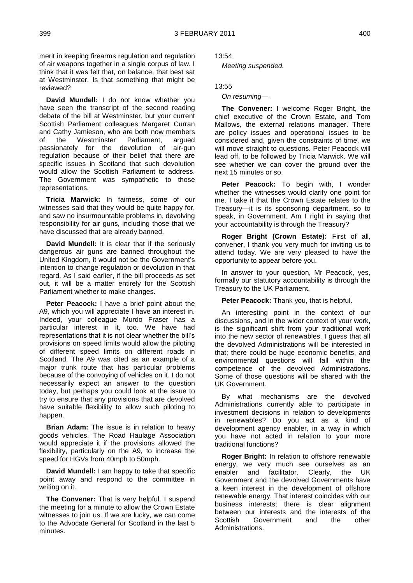merit in keeping firearms regulation and regulation of air weapons together in a single corpus of law. I think that it was felt that, on balance, that best sat at Westminster. Is that something that might be reviewed?

**David Mundell:** I do not know whether you have seen the transcript of the second reading debate of the bill at Westminster, but your current Scottish Parliament colleagues Margaret Curran and Cathy Jamieson, who are both now members of the Westminster Parliament, argued passionately for the devolution of air-gun regulation because of their belief that there are specific issues in Scotland that such devolution would allow the Scottish Parliament to address. The Government was sympathetic to those representations.

**Tricia Marwick:** In fairness, some of our witnesses said that they would be quite happy for, and saw no insurmountable problems in, devolving responsibility for air guns, including those that we have discussed that are already banned.

**David Mundell:** It is clear that if the seriously dangerous air guns are banned throughout the United Kingdom, it would not be the Government's intention to change regulation or devolution in that regard. As I said earlier, if the bill proceeds as set out, it will be a matter entirely for the Scottish Parliament whether to make changes.

**Peter Peacock:** I have a brief point about the A9, which you will appreciate I have an interest in. Indeed, your colleague Murdo Fraser has a particular interest in it, too. We have had representations that it is not clear whether the bill's provisions on speed limits would allow the piloting of different speed limits on different roads in Scotland. The A9 was cited as an example of a major trunk route that has particular problems because of the convoying of vehicles on it. I do not necessarily expect an answer to the question today, but perhaps you could look at the issue to try to ensure that any provisions that are devolved have suitable flexibility to allow such piloting to happen.

**Brian Adam:** The issue is in relation to heavy goods vehicles. The Road Haulage Association would appreciate it if the provisions allowed the flexibility, particularly on the A9, to increase the speed for HGVs from 40mph to 50mph.

**David Mundell:** I am happy to take that specific point away and respond to the committee in writing on it.

**The Convener:** That is very helpful. I suspend the meeting for a minute to allow the Crown Estate witnesses to join us. If we are lucky, we can come to the Advocate General for Scotland in the last 5 minutes.

13:54

*Meeting suspended.*

13:55

#### *On resuming—*

**The Convener:** I welcome Roger Bright, the chief executive of the Crown Estate, and Tom Mallows, the external relations manager. There are policy issues and operational issues to be considered and, given the constraints of time, we will move straight to questions. Peter Peacock will lead off, to be followed by Tricia Marwick. We will see whether we can cover the ground over the next 15 minutes or so.

**Peter Peacock:** To begin with, I wonder whether the witnesses would clarify one point for me. I take it that the Crown Estate relates to the Treasury—it is its sponsoring department, so to speak, in Government. Am I right in saving that your accountability is through the Treasury?

**Roger Bright (Crown Estate):** First of all, convener, I thank you very much for inviting us to attend today. We are very pleased to have the opportunity to appear before you.

In answer to your question, Mr Peacock, yes, formally our statutory accountability is through the Treasury to the UK Parliament.

**Peter Peacock:** Thank you, that is helpful.

An interesting point in the context of our discussions, and in the wider context of your work, is the significant shift from your traditional work into the new sector of renewables. I guess that all the devolved Administrations will be interested in that; there could be huge economic benefits, and environmental questions will fall within the competence of the devolved Administrations. Some of those questions will be shared with the UK Government.

By what mechanisms are the devolved Administrations currently able to participate in investment decisions in relation to developments in renewables? Do you act as a kind of development agency enabler, in a way in which you have not acted in relation to your more traditional functions?

**Roger Bright:** In relation to offshore renewable energy, we very much see ourselves as an enabler and facilitator. Clearly, the UK Government and the devolved Governments have a keen interest in the development of offshore renewable energy. That interest coincides with our business interests; there is clear alignment between our interests and the interests of the Scottish Government and the other Administrations.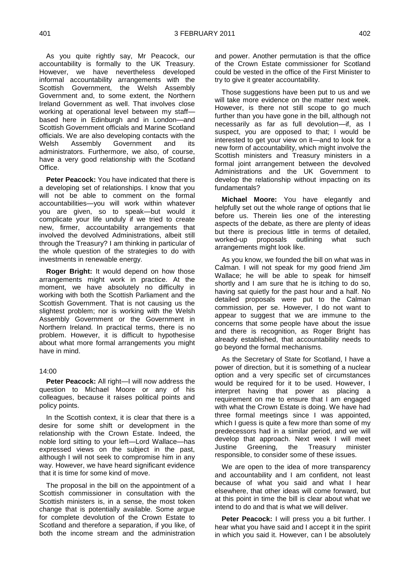As you quite rightly say, Mr Peacock, our accountability is formally to the UK Treasury. However, we have nevertheless developed informal accountability arrangements with the Scottish Government, the Welsh Assembly Government and, to some extent, the Northern Ireland Government as well. That involves close working at operational level between my staff based here in Edinburgh and in London—and Scottish Government officials and Marine Scotland officials. We are also developing contacts with the Welsh Assembly Government and its administrators. Furthermore, we also, of course, have a very good relationship with the Scotland Office.

**Peter Peacock:** You have indicated that there is a developing set of relationships. I know that you will not be able to comment on the formal accountabilities—you will work within whatever you are given, so to speak—but would it complicate your life unduly if we tried to create new, firmer, accountability arrangements that involved the devolved Administrations, albeit still through the Treasury? I am thinking in particular of the whole question of the strategies to do with investments in renewable energy.

**Roger Bright:** It would depend on how those arrangements might work in practice. At the moment, we have absolutely no difficulty in working with both the Scottish Parliament and the Scottish Government. That is not causing us the slightest problem; nor is working with the Welsh Assembly Government or the Government in Northern Ireland. In practical terms, there is no problem. However, it is difficult to hypothesise about what more formal arrangements you might have in mind.

#### 14:00

**Peter Peacock:** All right—I will now address the question to Michael Moore or any of his colleagues, because it raises political points and policy points.

In the Scottish context, it is clear that there is a desire for some shift or development in the relationship with the Crown Estate. Indeed, the noble lord sitting to your left—Lord Wallace—has expressed views on the subject in the past, although I will not seek to compromise him in any way. However, we have heard significant evidence that it is time for some kind of move.

The proposal in the bill on the appointment of a Scottish commissioner in consultation with the Scottish ministers is, in a sense, the most token change that is potentially available. Some argue for complete devolution of the Crown Estate to Scotland and therefore a separation, if you like, of both the income stream and the administration

and power. Another permutation is that the office of the Crown Estate commissioner for Scotland could be vested in the office of the First Minister to try to give it greater accountability.

Those suggestions have been put to us and we will take more evidence on the matter next week. However, is there not still scope to go much further than you have gone in the bill, although not necessarily as far as full devolution—if, as I suspect, you are opposed to that; I would be interested to get your view on it—and to look for a new form of accountability, which might involve the Scottish ministers and Treasury ministers in a formal joint arrangement between the devolved Administrations and the UK Government to develop the relationship without impacting on its fundamentals?

**Michael Moore:** You have elegantly and helpfully set out the whole range of options that lie before us. Therein lies one of the interesting aspects of the debate, as there are plenty of ideas but there is precious little in terms of detailed, worked-up proposals outlining what such arrangements might look like.

As you know, we founded the bill on what was in Calman. I will not speak for my good friend Jim Wallace; he will be able to speak for himself shortly and I am sure that he is itching to do so, having sat quietly for the past hour and a half. No detailed proposals were put to the Calman commission, per se. However, I do not want to appear to suggest that we are immune to the concerns that some people have about the issue and there is recognition, as Roger Bright has already established, that accountability needs to go beyond the formal mechanisms.

As the Secretary of State for Scotland, I have a power of direction, but it is something of a nuclear option and a very specific set of circumstances would be required for it to be used. However, I interpret having that power as placing a requirement on me to ensure that I am engaged with what the Crown Estate is doing. We have had three formal meetings since I was appointed, which I guess is quite a few more than some of my predecessors had in a similar period, and we will develop that approach. Next week I will meet Justine Greening, the Treasury minister responsible, to consider some of these issues.

We are open to the idea of more transparency and accountability and I am confident, not least because of what you said and what I hear elsewhere, that other ideas will come forward, but at this point in time the bill is clear about what we intend to do and that is what we will deliver.

Peter Peacock: I will press you a bit further. I hear what you have said and I accept it in the spirit in which you said it. However, can I be absolutely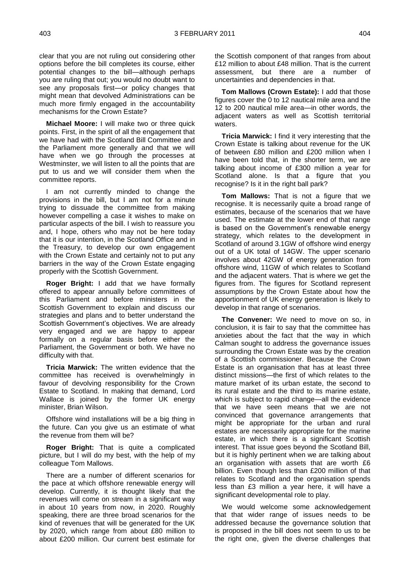clear that you are not ruling out considering other options before the bill completes its course, either potential changes to the bill—although perhaps you are ruling that out; you would no doubt want to see any proposals first—or policy changes that might mean that devolved Administrations can be much more firmly engaged in the accountability mechanisms for the Crown Estate?

**Michael Moore:** I will make two or three quick points. First, in the spirit of all the engagement that we have had with the Scotland Bill Committee and the Parliament more generally and that we will have when we go through the processes at Westminster, we will listen to all the points that are put to us and we will consider them when the committee reports.

I am not currently minded to change the provisions in the bill, but I am not for a minute trying to dissuade the committee from making however compelling a case it wishes to make on particular aspects of the bill. I wish to reassure you and, I hope, others who may not be here today that it is our intention, in the Scotland Office and in the Treasury, to develop our own engagement with the Crown Estate and certainly not to put any barriers in the way of the Crown Estate engaging properly with the Scottish Government.

**Roger Bright:** I add that we have formally offered to appear annually before committees of this Parliament and before ministers in the Scottish Government to explain and discuss our strategies and plans and to better understand the Scottish Government's objectives. We are already very engaged and we are happy to appear formally on a regular basis before either the Parliament, the Government or both. We have no difficulty with that.

**Tricia Marwick:** The written evidence that the committee has received is overwhelmingly in favour of devolving responsibility for the Crown Estate to Scotland. In making that demand, Lord Wallace is joined by the former UK energy minister, Brian Wilson.

Offshore wind installations will be a big thing in the future. Can you give us an estimate of what the revenue from them will be?

**Roger Bright:** That is quite a complicated picture, but I will do my best, with the help of my colleague Tom Mallows.

There are a number of different scenarios for the pace at which offshore renewable energy will develop. Currently, it is thought likely that the revenues will come on stream in a significant way in about 10 years from now, in 2020. Roughly speaking, there are three broad scenarios for the kind of revenues that will be generated for the UK by 2020, which range from about £80 million to about £200 million. Our current best estimate for

the Scottish component of that ranges from about £12 million to about £48 million. That is the current assessment, but there are a number of uncertainties and dependencies in that.

**Tom Mallows (Crown Estate):** I add that those figures cover the  $0$  to 12 nautical mile area and the 12 to 200 nautical mile area—in other words, the adjacent waters as well as Scottish territorial waters.

**Tricia Marwick:** I find it very interesting that the Crown Estate is talking about revenue for the UK of between £80 million and £200 million when I have been told that, in the shorter term, we are talking about income of £300 million a year for Scotland alone. Is that a figure that you recognise? Is it in the right ball park?

**Tom Mallows:** That is not a figure that we recognise. It is necessarily quite a broad range of estimates, because of the scenarios that we have used. The estimate at the lower end of that range is based on the Government's renewable energy strategy, which relates to the development in Scotland of around 3.1GW of offshore wind energy out of a UK total of 14GW. The upper scenario involves about 42GW of energy generation from offshore wind, 11GW of which relates to Scotland and the adjacent waters. That is where we get the figures from. The figures for Scotland represent assumptions by the Crown Estate about how the apportionment of UK energy generation is likely to develop in that range of scenarios.

**The Convener:** We need to move on so, in conclusion, it is fair to say that the committee has anxieties about the fact that the way in which Calman sought to address the governance issues surrounding the Crown Estate was by the creation of a Scottish commissioner. Because the Crown Estate is an organisation that has at least three distinct missions—the first of which relates to the mature market of its urban estate, the second to its rural estate and the third to its marine estate, which is subject to rapid change—all the evidence that we have seen means that we are not convinced that governance arrangements that might be appropriate for the urban and rural estates are necessarily appropriate for the marine estate, in which there is a significant Scottish interest. That issue goes beyond the Scotland Bill, but it is highly pertinent when we are talking about an organisation with assets that are worth £6 billion. Even though less than £200 million of that relates to Scotland and the organisation spends less than £3 million a year here, it will have a significant developmental role to play.

We would welcome some acknowledgement that that wider range of issues needs to be addressed because the governance solution that is proposed in the bill does not seem to us to be the right one, given the diverse challenges that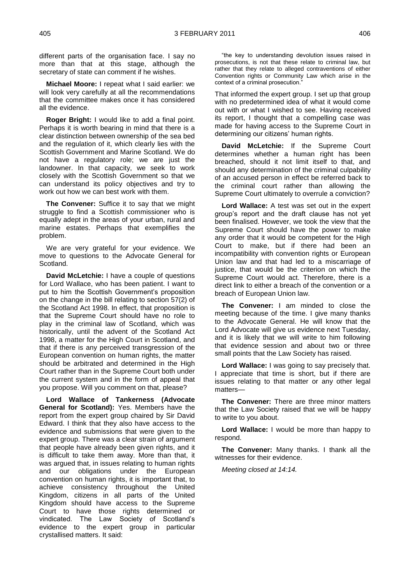different parts of the organisation face. I say no more than that at this stage, although the secretary of state can comment if he wishes.

**Michael Moore:** I repeat what I said earlier: we will look very carefully at all the recommendations that the committee makes once it has considered all the evidence.

**Roger Bright:** I would like to add a final point. Perhaps it is worth bearing in mind that there is a clear distinction between ownership of the sea bed and the regulation of it, which clearly lies with the Scottish Government and Marine Scotland. We do not have a regulatory role; we are just the landowner. In that capacity, we seek to work closely with the Scottish Government so that we can understand its policy objectives and try to work out how we can best work with them.

**The Convener:** Suffice it to say that we might struggle to find a Scottish commissioner who is equally adept in the areas of your urban, rural and marine estates. Perhaps that exemplifies the problem.

We are very grateful for your evidence. We move to questions to the Advocate General for Scotland.

**David McLetchie:** I have a couple of questions for Lord Wallace, who has been patient. I want to put to him the Scottish Government's proposition on the change in the bill relating to section 57(2) of the Scotland Act 1998. In effect, that proposition is that the Supreme Court should have no role to play in the criminal law of Scotland, which was historically, until the advent of the Scotland Act 1998, a matter for the High Court in Scotland, and that if there is any perceived transgression of the European convention on human rights, the matter should be arbitrated and determined in the High Court rather than in the Supreme Court both under the current system and in the form of appeal that you propose. Will you comment on that, please?

**Lord Wallace of Tankerness (Advocate General for Scotland):** Yes. Members have the report from the expert group chaired by Sir David Edward. I think that they also have access to the evidence and submissions that were given to the expert group. There was a clear strain of argument that people have already been given rights, and it is difficult to take them away. More than that, it was argued that, in issues relating to human rights and our obligations under the European convention on human rights, it is important that, to achieve consistency throughout the United Kingdom, citizens in all parts of the United Kingdom should have access to the Supreme Court to have those rights determined or vindicated. The Law Society of Scotland's evidence to the expert group in particular crystallised matters. It said:

"the key to understanding devolution issues raised in prosecutions, is not that these relate to criminal law, but rather that they relate to alleged contraventions of either Convention rights or Community Law which arise in the context of a criminal prosecution.

That informed the expert group. I set up that group with no predetermined idea of what it would come out with or what I wished to see. Having received its report, I thought that a compelling case was made for having access to the Supreme Court in determining our citizens' human rights.

**David McLetchie:** If the Supreme Court determines whether a human right has been breached, should it not limit itself to that, and should any determination of the criminal culpability of an accused person in effect be referred back to the criminal court rather than allowing the Supreme Court ultimately to overrule a conviction?

**Lord Wallace:** A test was set out in the expert group's report and the draft clause has not yet been finalised. However, we took the view that the Supreme Court should have the power to make any order that it would be competent for the High Court to make, but if there had been an incompatibility with convention rights or European Union law and that had led to a miscarriage of justice, that would be the criterion on which the Supreme Court would act. Therefore, there is a direct link to either a breach of the convention or a breach of European Union law.

**The Convener:** I am minded to close the meeting because of the time. I give many thanks to the Advocate General. He will know that the Lord Advocate will give us evidence next Tuesday, and it is likely that we will write to him following that evidence session and about two or three small points that the Law Society has raised.

**Lord Wallace:** I was going to say precisely that. I appreciate that time is short, but if there are issues relating to that matter or any other legal matters—

**The Convener:** There are three minor matters that the Law Society raised that we will be happy to write to you about.

**Lord Wallace:** I would be more than happy to respond.

**The Convener:** Many thanks. I thank all the witnesses for their evidence.

*Meeting closed at 14:14.*